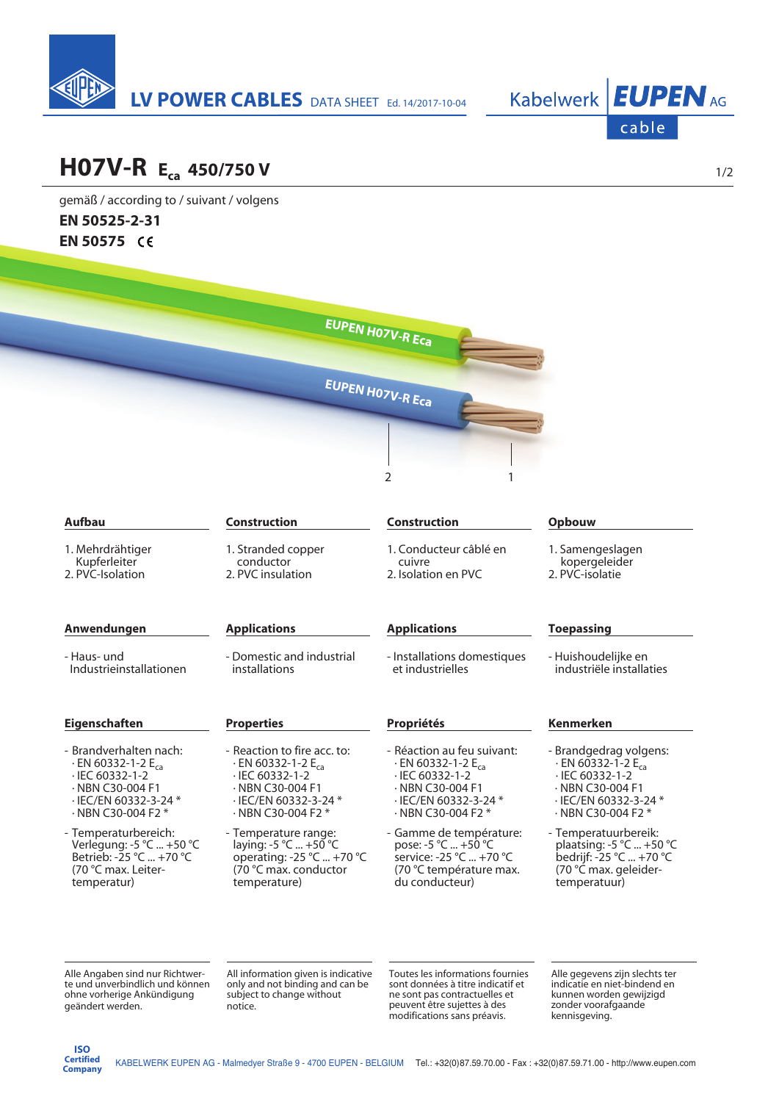



## **H07V-R Eca 450/750 V**

gemäß / according to / suivant / volgens **EN 50525-2-31 EN 50575** 

|                                                                                                                                                                           |                                                                                                                                                                                | <b>EUPEN HO7V-R Eca</b>                                                                                                                                                                |                                                                                                                                                                           |
|---------------------------------------------------------------------------------------------------------------------------------------------------------------------------|--------------------------------------------------------------------------------------------------------------------------------------------------------------------------------|----------------------------------------------------------------------------------------------------------------------------------------------------------------------------------------|---------------------------------------------------------------------------------------------------------------------------------------------------------------------------|
|                                                                                                                                                                           |                                                                                                                                                                                | EUPEN HO7V-R Eca                                                                                                                                                                       |                                                                                                                                                                           |
|                                                                                                                                                                           |                                                                                                                                                                                | $\overline{2}$                                                                                                                                                                         |                                                                                                                                                                           |
| <b>Aufbau</b>                                                                                                                                                             | <b>Construction</b>                                                                                                                                                            | <b>Construction</b>                                                                                                                                                                    | Opbouw                                                                                                                                                                    |
| 1. Mehrdrähtiger<br>Kupferleiter<br>2. PVC-Isolation                                                                                                                      | 1. Stranded copper<br>conductor<br>2. PVC insulation                                                                                                                           | 1. Conducteur câblé en<br>cuivre<br>2. Isolation en PVC                                                                                                                                | 1. Samengeslagen<br>kopergeleider<br>2. PVC-isolatie                                                                                                                      |
| Anwendungen                                                                                                                                                               | <b>Applications</b>                                                                                                                                                            | <b>Applications</b>                                                                                                                                                                    | <b>Toepassing</b>                                                                                                                                                         |
| - Haus- und<br>Industrieinstallationen                                                                                                                                    | - Domestic and industrial<br>installations                                                                                                                                     | - Installations domestiques<br>et industrielles                                                                                                                                        | - Huishoudelijke en<br>industriële installaties                                                                                                                           |
| Eigenschaften                                                                                                                                                             | <b>Properties</b>                                                                                                                                                              | Propriétés                                                                                                                                                                             | <b>Kenmerken</b>                                                                                                                                                          |
| - Brandverhalten nach:<br>$\cdot$ EN 60332-1-2 E <sub>ca</sub><br>$\cdot$ IEC 60332-1-2<br>$\cdot$ NBN C30-004 F1<br>· IEC/EN 60332-3-24 *<br>$\cdot$ NBN C30-004 F2 $^*$ | - Reaction to fire acc. to:<br>$\cdot$ EN 60332-1-2 E <sub>ca</sub><br>$\cdot$ IEC 60332-1-2<br>$\cdot$ NBN C30-004 F1<br>· IEC/EN 60332-3-24 *<br>$\cdot$ NBN C30-004 F2 $^*$ | - Réaction au feu suivant:<br>$\cdot$ EN 60332-1-2 E <sub>ca</sub><br>$\cdot$ IEC 60332-1-2<br>$\cdot$ NBN C30-004 F1<br>$\cdot$ IEC/EN 60332-3-24 $^*$<br>$\cdot$ NBN C30-004 F2 $^*$ | - Brandgedrag volgens:<br>$\cdot$ EN 60332-1-2 E <sub>ca</sub><br>$\cdot$ IEC 60332-1-2<br>$\cdot$ NBN C30-004 F1<br>· IEC/EN 60332-3-24 *<br>$\cdot$ NBN C30-004 F2 $^*$ |
| - Temperaturbereich:<br>Verlegung: -5 °C  +50 °C<br>Betrieb: -25 °C  +70 °C<br>(70 °C max. Leiter-<br>temperatur)                                                         | - Temperature range:<br>laying: -5 °C  +50 °C<br>operating: -25 °C  +70 °C<br>(70 °C max. conductor<br>temperature)                                                            | - Gamme de température:<br>pose: -5 °C  +50 °C<br>service: -25 °C  +70 °C<br>(70 °C température max.<br>du conducteur)                                                                 | - Temperatuurbereik:<br>plaatsing: -5 °C  +50 °C<br>bedrijf: -25 °C  +70 °C<br>(70 °C max. geleider-<br>temperatuur)                                                      |
| Alle Angaben sind nur Richtwer-                                                                                                                                           | All information given is indicative                                                                                                                                            | Toutes les informations fournies                                                                                                                                                       | Alle gegevens zijn slechts ter                                                                                                                                            |

geändert werden.

te und unverbindlich und können ohne vorherige Ankündigung

sont données à titre indicatif et ne sont pas contractuelles et peuvent être sujettes à des modifications sans préavis.

indicatie en niet-bindend en kunnen worden gewijzigd zonder voorafgaande kennisgeving.

only and not binding and can be subject to change without

notice.

1/2